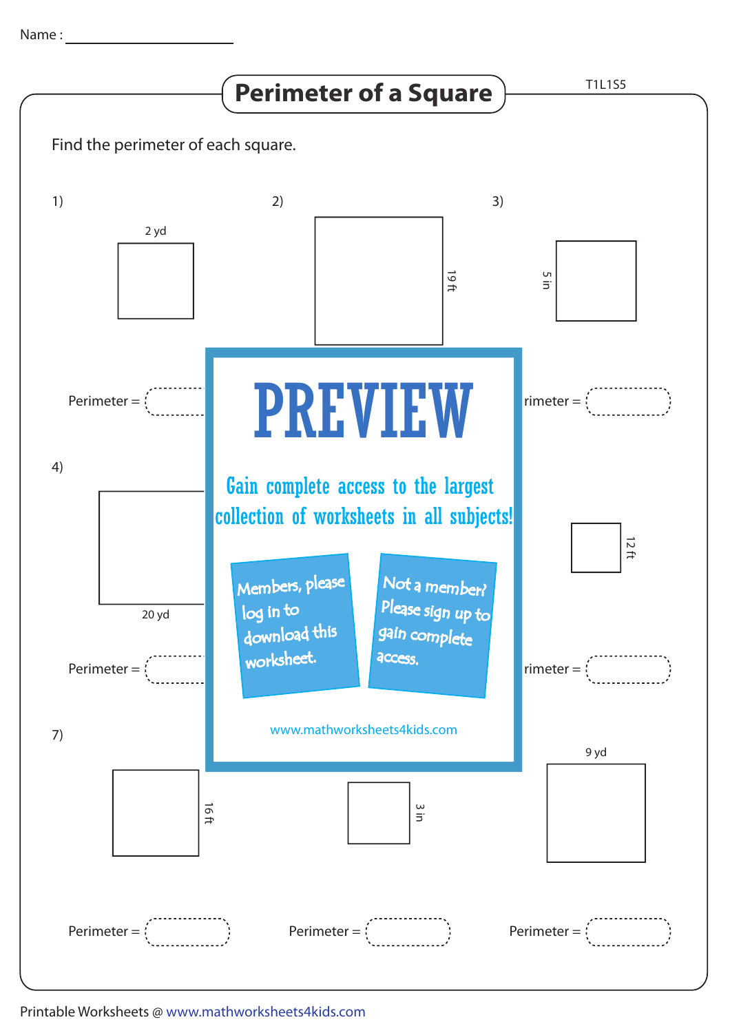